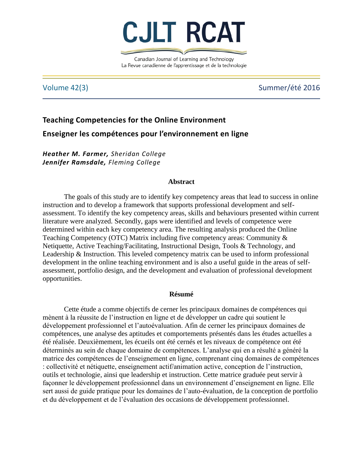

Canadian Journal of Learning and Technology La Revue canadienne de l'apprentissage et de la technologie

# Volume 42(3) Summer/été 2016

# **Teaching Competencies for the Online Environment**

# **Enseigner les compétences pour l'environnement en ligne**

*Heather M. Farmer, Sheridan College Jennifer Ramsdale, Fleming College*

# **Abstract**

The goals of this study are to identify key competency areas that lead to success in online instruction and to develop a framework that supports professional development and selfassessment. To identify the key competency areas, skills and behaviours presented within current literature were analyzed. Secondly, gaps were identified and levels of competence were determined within each key competency area. The resulting analysis produced the Online Teaching Competency (OTC) Matrix including five competency areas: Community & Netiquette, Active Teaching/Facilitating, Instructional Design, Tools & Technology, and Leadership & Instruction. This leveled competency matrix can be used to inform professional development in the online teaching environment and is also a useful guide in the areas of selfassessment, portfolio design, and the development and evaluation of professional development opportunities.

# **Résumé**

Cette étude a comme objectifs de cerner les principaux domaines de compétences qui mènent à la réussite de l'instruction en ligne et de développer un cadre qui soutient le développement professionnel et l'autoévaluation. Afin de cerner les principaux domaines de compétences, une analyse des aptitudes et comportements présentés dans les études actuelles a été réalisée. Deuxièmement, les écueils ont été cernés et les niveaux de compétence ont été déterminés au sein de chaque domaine de compétences. L'analyse qui en a résulté a généré la matrice des compétences de l'enseignement en ligne, comprenant cinq domaines de compétences : collectivité et nétiquette, enseignement actif/animation active, conception de l'instruction, outils et technologie, ainsi que leadership et instruction. Cette matrice graduée peut servir à façonner le développement professionnel dans un environnement d'enseignement en ligne. Elle sert aussi de guide pratique pour les domaines de l'auto-évaluation, de la conception de portfolio et du développement et de l'évaluation des occasions de développement professionnel.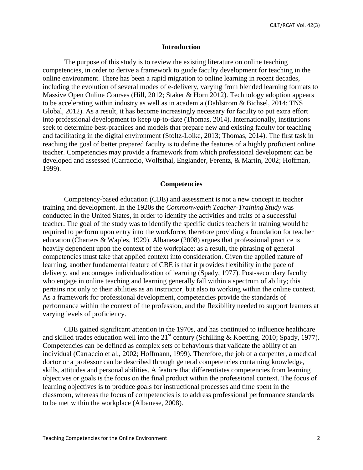#### **Introduction**

The purpose of this study is to review the existing literature on online teaching competencies, in order to derive a framework to guide faculty development for teaching in the online environment. There has been a rapid migration to online learning in recent decades, including the evolution of several modes of e-delivery, varying from blended learning formats to Massive Open Online Courses (Hill, 2012; Staker & Horn 2012). Technology adoption appears to be accelerating within industry as well as in academia (Dahlstrom & Bichsel, 2014; TNS Global, 2012). As a result, it has become increasingly necessary for faculty to put extra effort into professional development to keep up-to-date (Thomas, 2014). Internationally, institutions seek to determine best-practices and models that prepare new and existing faculty for teaching and facilitating in the digital environment (Stoltz-Loike, 2013; Thomas, 2014). The first task in reaching the goal of better prepared faculty is to define the features of a highly proficient online teacher. Competencies may provide a framework from which professional development can be developed and assessed (Carraccio, Wolfsthal, Englander, Ferentz, & Martin, 2002; Hoffman, 1999).

#### **Competencies**

Competency-based education (CBE) and assessment is not a new concept in teacher training and development. In the 1920s the *Commonwealth Teacher-Training Study* was conducted in the United States, in order to identify the activities and traits of a successful teacher. The goal of the study was to identify the specific duties teachers in training would be required to perform upon entry into the workforce, therefore providing a foundation for teacher education (Charters & Waples, 1929). Albanese (2008) argues that professional practice is heavily dependent upon the context of the workplace; as a result, the phrasing of general competencies must take that applied context into consideration. Given the applied nature of learning, another fundamental feature of CBE is that it provides flexibility in the pace of delivery, and encourages individualization of learning (Spady, 1977). Post-secondary faculty who engage in online teaching and learning generally fall within a spectrum of ability; this pertains not only to their abilities as an instructor, but also to working within the online context. As a framework for professional development, competencies provide the standards of performance within the context of the profession, and the flexibility needed to support learners at varying levels of proficiency.

CBE gained significant attention in the 1970s, and has continued to influence healthcare and skilled trades education well into the  $21<sup>st</sup>$  century (Schilling & Koetting, 2010; Spady, 1977). Competencies can be defined as complex sets of behaviours that validate the ability of an individual (Carraccio et al., 2002; Hoffmann, 1999). Therefore, the job of a carpenter, a medical doctor or a professor can be described through general competencies containing knowledge, skills, attitudes and personal abilities. A feature that differentiates competencies from learning objectives or goals is the focus on the final product within the professional context. The focus of learning objectives is to produce goals for instructional processes and time spent in the classroom, whereas the focus of competencies is to address professional performance standards to be met within the workplace (Albanese, 2008).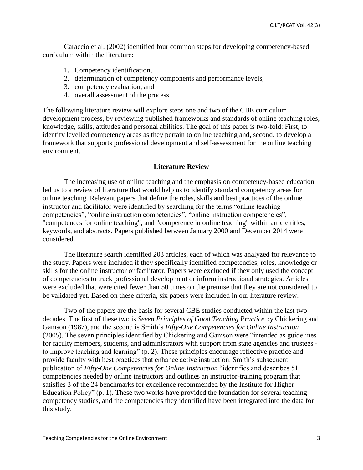Caraccio et al. (2002) identified four common steps for developing competency-based curriculum within the literature:

- 1. Competency identification,
- 2. determination of competency components and performance levels,
- 3. competency evaluation, and
- 4. overall assessment of the process.

The following literature review will explore steps one and two of the CBE curriculum development process, by reviewing published frameworks and standards of online teaching roles, knowledge, skills, attitudes and personal abilities. The goal of this paper is two-fold: First, to identify levelled competency areas as they pertain to online teaching and, second, to develop a framework that supports professional development and self-assessment for the online teaching environment.

# **Literature Review**

The increasing use of online teaching and the emphasis on competency-based education led us to a review of literature that would help us to identify standard competency areas for online teaching. Relevant papers that define the roles, skills and best practices of the online instructor and facilitator were identified by searching for the terms "online teaching competencies", "online instruction competencies", "online instruction competencies", "competences for online teaching", and "competence in online teaching" within article titles, keywords, and abstracts. Papers published between January 2000 and December 2014 were considered.

The literature search identified 203 articles, each of which was analyzed for relevance to the study. Papers were included if they specifically identified competencies, roles, knowledge or skills for the online instructor or facilitator. Papers were excluded if they only used the concept of competencies to track professional development or inform instructional strategies. Articles were excluded that were cited fewer than 50 times on the premise that they are not considered to be validated yet. Based on these criteria, six papers were included in our literature review.

Two of the papers are the basis for several CBE studies conducted within the last two decades. The first of these two is *Seven Principles of Good Teaching Practice* by Chickering and Gamson (1987), and the second is Smith's *Fifty-One Competencies for Online Instruction* (2005). The seven principles identified by Chickering and Gamson were "intended as guidelines for faculty members, students, and administrators with support from state agencies and trustees to improve teaching and learning" (p. 2). These principles encourage reflective practice and provide faculty with best practices that enhance active instruction. Smith's subsequent publication of *Fifty-One Competencies for Online Instruction* "identifies and describes 51 competencies needed by online instructors and outlines an instructor-training program that satisfies 3 of the 24 benchmarks for excellence recommended by the Institute for Higher Education Policy" (p. 1). These two works have provided the foundation for several teaching competency studies, and the competencies they identified have been integrated into the data for this study.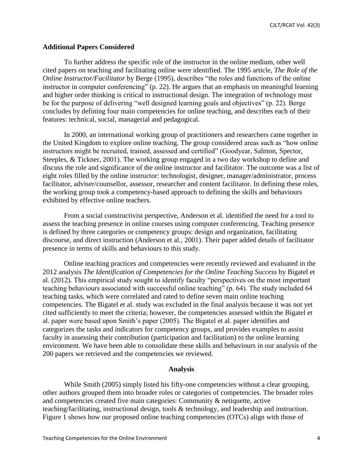CJLT/RCAT Vol. 42(3)

# **Additional Papers Considered**

To further address the specific role of the instructor in the online medium, other well cited papers on teaching and facilitating online were identified. The 1995 article, *The Role of the Online Instructor/Facilitator* by Berge (1995), describes "the roles and functions of the online instructor in computer conferencing" (p. 22). He argues that an emphasis on meaningful learning and higher order thinking is critical to instructional design. The integration of technology must be for the purpose of delivering "well designed learning goals and objectives" (p. 22). Berge concludes by defining four main competencies for online teaching, and describes each of their features: technical, social, managerial and pedagogical.

In 2000, an international working group of practitioners and researchers came together in the United Kingdom to explore online teaching. The group considered areas such as "how online instructors might be recruited, trained, assessed and certified" (Goodyear, Salmon, Spector, Steeples, & Tickner, 2001). The working group engaged in a two day workshop to define and discuss the role and significance of the online instructor and facilitator. The outcome was a list of eight roles filled by the online instructor: technologist, designer, manager/administrator, process facilitator, adviser/counsellor, assessor, researcher and content facilitator. In defining these roles, the working group took a competency-based approach to defining the skills and behaviours exhibited by effective online teachers.

From a social constructivist perspective, Anderson et al. identified the need for a tool to assess the teaching presence in online courses using computer conferencing. Teaching presence is defined by three categories or competency groups: design and organization, facilitating discourse, and direct instruction (Anderson et al., 2001). Their paper added details of facilitator presence in terms of skills and behaviours to this study.

Online teaching practices and competencies were recently reviewed and evaluated in the 2012 analysis *The Identification of Competencies for the Online Teaching Success* by Bigatel et al. (2012). This empirical study sought to identify faculty "perspectives on the most important teaching behaviours associated with successful online teaching" (p. 64). The study included 64 teaching tasks, which were correlated and rated to define seven main online teaching competencies. The Bigatel et al. study was excluded in the final analysis because it was not yet cited sufficiently to meet the criteria; however, the competencies assessed within the Bigatel et al. paper were based upon Smith's paper (2005). The Bigatel et al. paper identifies and categorizes the tasks and indicators for competency groups, and provides examples to assist faculty in assessing their contribution (participation and facilitation) to the online learning environment. We have been able to consolidate these skills and behaviours in our analysis of the 200 papers we retrieved and the competencies we reviewed.

# **Analysis**

While Smith (2005) simply listed his fifty-one competencies without a clear grouping, other authors grouped them into broader roles or categories of competencies. The broader roles and competencies created five main categories: Community & netiquette, active teaching/facilitating, instructional design, tools & technology, and leadership and instruction. Figure 1 shows how our proposed online teaching competencies (OTCs) align with those of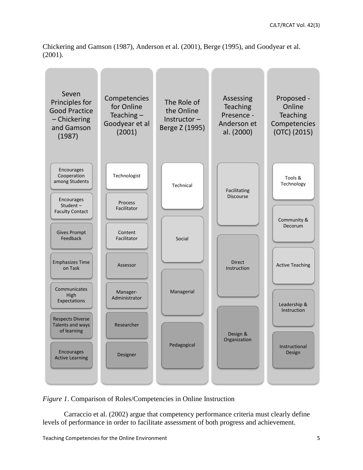Chickering and Gamson (1987), Anderson et al. (2001), Berge (1995), and Goodyear et al. (2001).



*Figure 1*. Comparison of Roles/Competencies in Online Instruction

Carraccio et al. (2002) argue that competency performance criteria must clearly define levels of performance in order to facilitate assessment of both progress and achievement.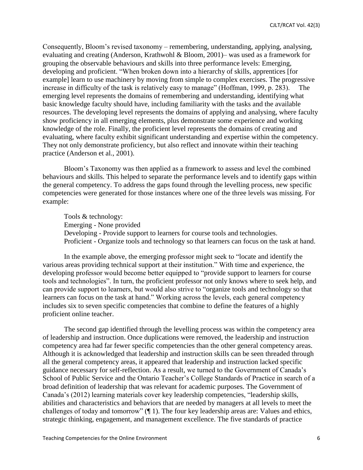Consequently, Bloom's revised taxonomy – remembering, understanding, applying, analysing, evaluating and creating (Anderson, Krathwohl & Bloom, 2001)– was used as a framework for grouping the observable behaviours and skills into three performance levels: Emerging, developing and proficient. "When broken down into a hierarchy of skills, apprentices [for example] learn to use machinery by moving from simple to complex exercises. The progressive increase in difficulty of the task is relatively easy to manage" (Hoffman, 1999, p. 283). The emerging level represents the domains of remembering and understanding, identifying what basic knowledge faculty should have, including familiarity with the tasks and the available resources. The developing level represents the domains of applying and analysing, where faculty show proficiency in all emerging elements, plus demonstrate some experience and working knowledge of the role. Finally, the proficient level represents the domains of creating and evaluating, where faculty exhibit significant understanding and expertise within the competency. They not only demonstrate proficiency, but also reflect and innovate within their teaching practice (Anderson et al., 2001).

Bloom's Taxonomy was then applied as a framework to assess and level the combined behaviours and skills. This helped to separate the performance levels and to identify gaps within the general competency. To address the gaps found through the levelling process, new specific competencies were generated for those instances where one of the three levels was missing. For example:

Tools & technology: Emerging - None provided Developing - Provide support to learners for course tools and technologies. Proficient - Organize tools and technology so that learners can focus on the task at hand.

In the example above, the emerging professor might seek to "locate and identify the various areas providing technical support at their institution." With time and experience, the developing professor would become better equipped to "provide support to learners for course tools and technologies". In turn, the proficient professor not only knows where to seek help, and can provide support to learners, but would also strive to "organize tools and technology so that learners can focus on the task at hand." Working across the levels, each general competency includes six to seven specific competencies that combine to define the features of a highly proficient online teacher.

The second gap identified through the levelling process was within the competency area of leadership and instruction. Once duplications were removed, the leadership and instruction competency area had far fewer specific competencies than the other general competency areas. Although it is acknowledged that leadership and instruction skills can be seen threaded through all the general competency areas, it appeared that leadership and instruction lacked specific guidance necessary for self-reflection. As a result, we turned to the Government of Canada's School of Public Service and the Ontario Teacher's College Standards of Practice in search of a broad definition of leadership that was relevant for academic purposes. The Government of Canada's (2012) learning materials cover key leadership competencies, "leadership skills, abilities and characteristics and behaviors that are needed by managers at all levels to meet the challenges of today and tomorrow" (¶ 1). The four key leadership areas are: Values and ethics, strategic thinking, engagement, and management excellence. The five standards of practice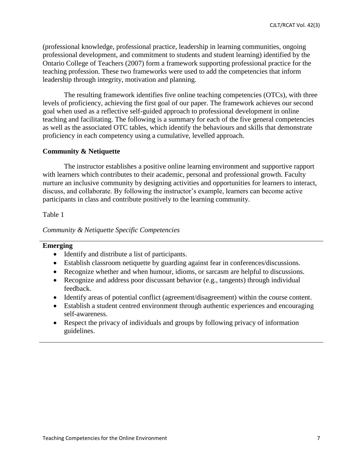(professional knowledge, professional practice, leadership in learning communities, ongoing professional development, and commitment to students and student learning) identified by the Ontario College of Teachers (2007) form a framework supporting professional practice for the teaching profession. These two frameworks were used to add the competencies that inform leadership through integrity, motivation and planning.

The resulting framework identifies five online teaching competencies (OTCs), with three levels of proficiency, achieving the first goal of our paper. The framework achieves our second goal when used as a reflective self-guided approach to professional development in online teaching and facilitating. The following is a summary for each of the five general competencies as well as the associated OTC tables, which identify the behaviours and skills that demonstrate proficiency in each competency using a cumulative, levelled approach.

# **Community & Netiquette**

The instructor establishes a positive online learning environment and supportive rapport with learners which contributes to their academic, personal and professional growth. Faculty nurture an inclusive community by designing activities and opportunities for learners to interact, discuss, and collaborate. By following the instructor's example, learners can become active participants in class and contribute positively to the learning community.

#### Table 1

*Community & Netiquette Specific Competencies*

#### **Emerging**

- Identify and distribute a list of participants.
- Establish classroom netiquette by guarding against fear in conferences/discussions.
- Recognize whether and when humour, idioms, or sarcasm are helpful to discussions.
- Recognize and address poor discussant behavior (e.g., tangents) through individual feedback.
- Identify areas of potential conflict (agreement/disagreement) within the course content.
- Establish a student centred environment through authentic experiences and encouraging self-awareness.
- Respect the privacy of individuals and groups by following privacy of information guidelines.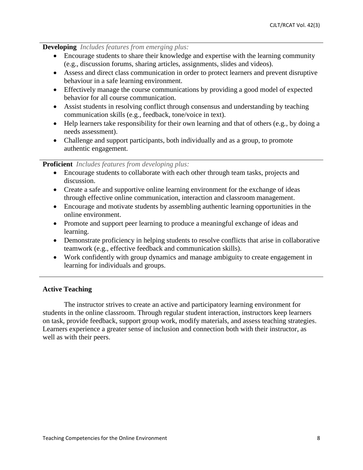**Developing** *Includes features from emerging plus:*

- Encourage students to share their knowledge and expertise with the learning community (e.g., discussion forums, sharing articles, assignments, slides and videos).
- Assess and direct class communication in order to protect learners and prevent disruptive behaviour in a safe learning environment.
- Effectively manage the course communications by providing a good model of expected behavior for all course communication.
- Assist students in resolving conflict through consensus and understanding by teaching communication skills (e.g., feedback, tone/voice in text).
- Help learners take responsibility for their own learning and that of others (e.g., by doing a needs assessment).
- Challenge and support participants, both individually and as a group, to promote authentic engagement.

**Proficient** *Includes features from developing plus:*

- Encourage students to collaborate with each other through team tasks, projects and discussion.
- Create a safe and supportive online learning environment for the exchange of ideas through effective online communication, interaction and classroom management.
- Encourage and motivate students by assembling authentic learning opportunities in the online environment.
- Promote and support peer learning to produce a meaningful exchange of ideas and learning.
- Demonstrate proficiency in helping students to resolve conflicts that arise in collaborative teamwork (e.g., effective feedback and communication skills).
- Work confidently with group dynamics and manage ambiguity to create engagement in learning for individuals and groups.

# **Active Teaching**

The instructor strives to create an active and participatory learning environment for students in the online classroom. Through regular student interaction, instructors keep learners on task, provide feedback, support group work, modify materials, and assess teaching strategies. Learners experience a greater sense of inclusion and connection both with their instructor, as well as with their peers.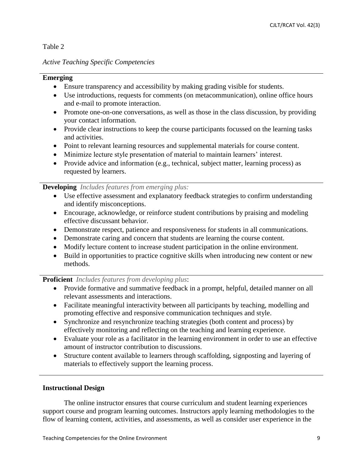Table 2

# *Active Teaching Specific Competencies*

# **Emerging**

- Ensure transparency and accessibility by making grading visible for students.
- Use introductions, requests for comments (on metacommunication), online office hours and e-mail to promote interaction.
- Promote one-on-one conversations, as well as those in the class discussion, by providing your contact information.
- Provide clear instructions to keep the course participants focussed on the learning tasks and activities.
- Point to relevant learning resources and supplemental materials for course content.
- Minimize lecture style presentation of material to maintain learners' interest.
- Provide advice and information (e.g., technical, subject matter, learning process) as requested by learners.

# **Developing** *Includes features from emerging plus:*

- Use effective assessment and explanatory feedback strategies to confirm understanding and identify misconceptions.
- Encourage, acknowledge, or reinforce student contributions by praising and modeling effective discussant behavior.
- Demonstrate respect, patience and responsiveness for students in all communications.
- Demonstrate caring and concern that students are learning the course content.
- Modify lecture content to increase student participation in the online environment.
- Build in opportunities to practice cognitive skills when introducing new content or new methods.

**Proficient** *Includes features from developing plus*:

- Provide formative and summative feedback in a prompt, helpful, detailed manner on all relevant assessments and interactions.
- Facilitate meaningful interactivity between all participants by teaching, modelling and promoting effective and responsive communication techniques and style.
- Synchronize and resynchronize teaching strategies (both content and process) by effectively monitoring and reflecting on the teaching and learning experience.
- Evaluate your role as a facilitator in the learning environment in order to use an effective amount of instructor contribution to discussions.
- Structure content available to learners through scaffolding, signposting and layering of materials to effectively support the learning process.

# **Instructional Design**

The online instructor ensures that course curriculum and student learning experiences support course and program learning outcomes. Instructors apply learning methodologies to the flow of learning content, activities, and assessments, as well as consider user experience in the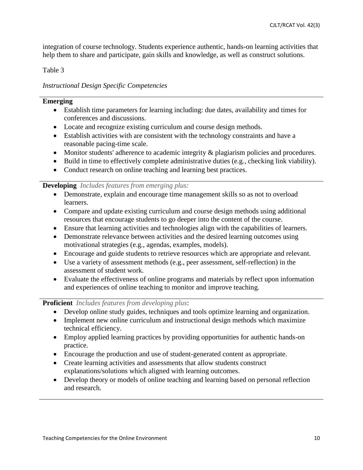integration of course technology. Students experience authentic, hands-on learning activities that help them to share and participate, gain skills and knowledge, as well as construct solutions.

# Table 3

# *Instructional Design Specific Competencies*

# **Emerging**

- Establish time parameters for learning including: due dates, availability and times for conferences and discussions.
- Locate and recognize existing curriculum and course design methods.
- Establish activities with are consistent with the technology constraints and have a reasonable pacing-time scale.
- Monitor students' adherence to academic integrity & plagiarism policies and procedures.
- Build in time to effectively complete administrative duties (e.g., checking link viability).
- Conduct research on online teaching and learning best practices.

**Developing** *Includes features from emerging plus:* 

- Demonstrate, explain and encourage time management skills so as not to overload learners.
- Compare and update existing curriculum and course design methods using additional resources that encourage students to go deeper into the content of the course.
- Ensure that learning activities and technologies align with the capabilities of learners.
- Demonstrate relevance between activities and the desired learning outcomes using motivational strategies (e.g., agendas, examples, models).
- Encourage and guide students to retrieve resources which are appropriate and relevant.
- Use a variety of assessment methods (e.g., peer assessment, self-reflection) in the assessment of student work.
- Evaluate the effectiveness of online programs and materials by reflect upon information and experiences of online teaching to monitor and improve teaching.

**Proficient** *Includes features from developing plus*:

- Develop online study guides, techniques and tools optimize learning and organization.
- Implement new online curriculum and instructional design methods which maximize technical efficiency.
- Employ applied learning practices by providing opportunities for authentic hands-on practice.
- Encourage the production and use of student-generated content as appropriate.
- Create learning activities and assessments that allow students construct explanations/solutions which aligned with learning outcomes.
- Develop theory or models of online teaching and learning based on personal reflection and research.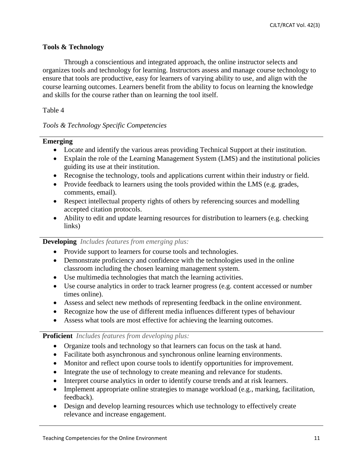# **Tools & Technology**

Through a conscientious and integrated approach, the online instructor selects and organizes tools and technology for learning. Instructors assess and manage course technology to ensure that tools are productive, easy for learners of varying ability to use, and align with the course learning outcomes. Learners benefit from the ability to focus on learning the knowledge and skills for the course rather than on learning the tool itself.

Table 4

*Tools & Technology Specific Competencies*

# **Emerging**

- Locate and identify the various areas providing Technical Support at their institution.
- Explain the role of the Learning Management System (LMS) and the institutional policies guiding its use at their institution.
- Recognise the technology, tools and applications current within their industry or field.
- Provide feedback to learners using the tools provided within the LMS (e.g. grades, comments, email).
- Respect intellectual property rights of others by referencing sources and modelling accepted citation protocols.
- Ability to edit and update learning resources for distribution to learners (e.g. checking links)

**Developing** *Includes features from emerging plus:*

- Provide support to learners for course tools and technologies.
- Demonstrate proficiency and confidence with the technologies used in the online classroom including the chosen learning management system.
- Use multimedia technologies that match the learning activities.
- Use course analytics in order to track learner progress (e.g. content accessed or number times online).
- Assess and select new methods of representing feedback in the online environment.
- Recognize how the use of different media influences different types of behaviour
- Assess what tools are most effective for achieving the learning outcomes.

**Proficient** *Includes features from developing plus:*

- Organize tools and technology so that learners can focus on the task at hand.
- Facilitate both asynchronous and synchronous online learning environments.
- Monitor and reflect upon course tools to identify opportunities for improvement.
- Integrate the use of technology to create meaning and relevance for students.
- Interpret course analytics in order to identify course trends and at risk learners.
- Implement appropriate online strategies to manage workload (e.g., marking, facilitation, feedback).
- Design and develop learning resources which use technology to effectively create relevance and increase engagement.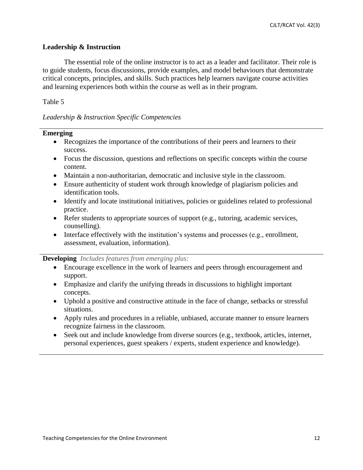# **Leadership & Instruction**

The essential role of the online instructor is to act as a leader and facilitator. Their role is to guide students, focus discussions, provide examples, and model behaviours that demonstrate critical concepts, principles, and skills. Such practices help learners navigate course activities and learning experiences both within the course as well as in their program.

# Table 5

# *Leadership & Instruction Specific Competencies*

# **Emerging**

- Recognizes the importance of the contributions of their peers and learners to their success.
- Focus the discussion, questions and reflections on specific concepts within the course content.
- Maintain a non-authoritarian, democratic and inclusive style in the classroom.
- Ensure authenticity of student work through knowledge of plagiarism policies and identification tools.
- Identify and locate institutional initiatives, policies or guidelines related to professional practice.
- Refer students to appropriate sources of support (e.g., tutoring, academic services, counselling).
- Interface effectively with the institution's systems and processes (e.g., enrollment, assessment, evaluation, information).

**Developing** *Includes features from emerging plus:* 

- Encourage excellence in the work of learners and peers through encouragement and support.
- Emphasize and clarify the unifying threads in discussions to highlight important concepts.
- Uphold a positive and constructive attitude in the face of change, setbacks or stressful situations.
- Apply rules and procedures in a reliable, unbiased, accurate manner to ensure learners recognize fairness in the classroom.
- Seek out and include knowledge from diverse sources (e.g., textbook, articles, internet, personal experiences, guest speakers / experts, student experience and knowledge).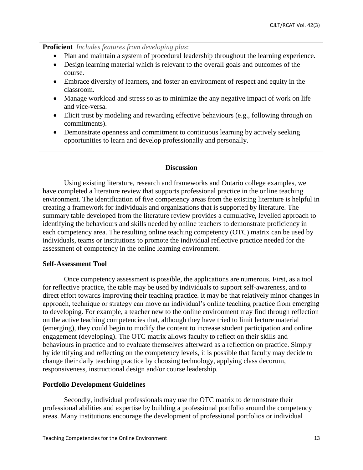**Proficient** *Includes features from developing plus*:

- Plan and maintain a system of procedural leadership throughout the learning experience.
- Design learning material which is relevant to the overall goals and outcomes of the course.
- Embrace diversity of learners, and foster an environment of respect and equity in the classroom.
- Manage workload and stress so as to minimize the any negative impact of work on life and vice-versa.
- Elicit trust by modeling and rewarding effective behaviours (e.g., following through on commitments).
- Demonstrate openness and commitment to continuous learning by actively seeking opportunities to learn and develop professionally and personally.

#### **Discussion**

Using existing literature, research and frameworks and Ontario college examples, we have completed a literature review that supports professional practice in the online teaching environment. The identification of five competency areas from the existing literature is helpful in creating a framework for individuals and organizations that is supported by literature. The summary table developed from the literature review provides a cumulative, levelled approach to identifying the behaviours and skills needed by online teachers to demonstrate proficiency in each competency area. The resulting online teaching competency (OTC) matrix can be used by individuals, teams or institutions to promote the individual reflective practice needed for the assessment of competency in the online learning environment.

#### **Self-Assessment Tool**

Once competency assessment is possible, the applications are numerous. First, as a tool for reflective practice, the table may be used by individuals to support self-awareness, and to direct effort towards improving their teaching practice. It may be that relatively minor changes in approach, technique or strategy can move an individual's online teaching practice from emerging to developing. For example, a teacher new to the online environment may find through reflection on the active teaching competencies that, although they have tried to limit lecture material (emerging), they could begin to modify the content to increase student participation and online engagement (developing). The OTC matrix allows faculty to reflect on their skills and behaviours in practice and to evaluate themselves afterward as a reflection on practice. Simply by identifying and reflecting on the competency levels, it is possible that faculty may decide to change their daily teaching practice by choosing technology, applying class decorum, responsiveness, instructional design and/or course leadership.

# **Portfolio Development Guidelines**

Secondly, individual professionals may use the OTC matrix to demonstrate their professional abilities and expertise by building a professional portfolio around the competency areas. Many institutions encourage the development of professional portfolios or individual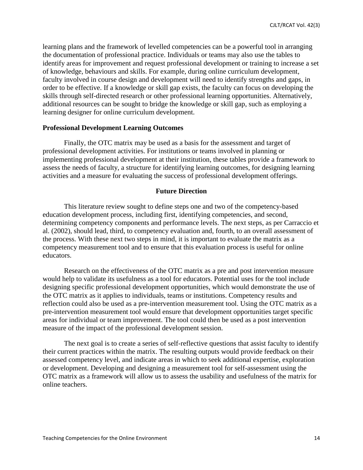learning plans and the framework of levelled competencies can be a powerful tool in arranging the documentation of professional practice. Individuals or teams may also use the tables to identify areas for improvement and request professional development or training to increase a set of knowledge, behaviours and skills. For example, during online curriculum development, faculty involved in course design and development will need to identify strengths and gaps, in order to be effective. If a knowledge or skill gap exists, the faculty can focus on developing the skills through self-directed research or other professional learning opportunities. Alternatively, additional resources can be sought to bridge the knowledge or skill gap, such as employing a learning designer for online curriculum development.

# **Professional Development Learning Outcomes**

Finally, the OTC matrix may be used as a basis for the assessment and target of professional development activities. For institutions or teams involved in planning or implementing professional development at their institution, these tables provide a framework to assess the needs of faculty, a structure for identifying learning outcomes, for designing learning activities and a measure for evaluating the success of professional development offerings.

#### **Future Direction**

This literature review sought to define steps one and two of the competency-based education development process, including first, identifying competencies, and second, determining competency components and performance levels. The next steps, as per Carraccio et al. (2002), should lead, third, to competency evaluation and, fourth, to an overall assessment of the process. With these next two steps in mind, it is important to evaluate the matrix as a competency measurement tool and to ensure that this evaluation process is useful for online educators.

Research on the effectiveness of the OTC matrix as a pre and post intervention measure would help to validate its usefulness as a tool for educators. Potential uses for the tool include designing specific professional development opportunities, which would demonstrate the use of the OTC matrix as it applies to individuals, teams or institutions. Competency results and reflection could also be used as a pre-intervention measurement tool. Using the OTC matrix as a pre-intervention measurement tool would ensure that development opportunities target specific areas for individual or team improvement. The tool could then be used as a post intervention measure of the impact of the professional development session.

The next goal is to create a series of self-reflective questions that assist faculty to identify their current practices within the matrix. The resulting outputs would provide feedback on their assessed competency level, and indicate areas in which to seek additional expertise, exploration or development. Developing and designing a measurement tool for self-assessment using the OTC matrix as a framework will allow us to assess the usability and usefulness of the matrix for online teachers.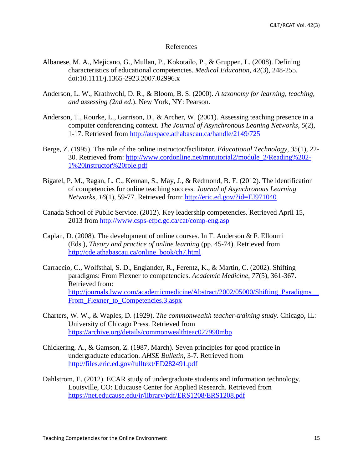#### References

- Albanese, M. A., Mejicano, G., Mullan, P., Kokotailo, P., & Gruppen, L. (2008). Defining characteristics of educational competencies. *Medical Education, 42*(3), 248-255. doi:10.1111/j.1365-2923.2007.02996.x
- Anderson, L. W., Krathwohl, D. R., & Bloom, B. S. (2000). *A taxonomy for learning, teaching, and assessing (2nd ed*.). New York, NY: Pearson.
- Anderson, T., Rourke, L., Garrison, D., & Archer, W. (2001). Assessing teaching presence in a computer conferencing context. *The Journal of Asynchronous Leaning Networks*, *5*(2), 1-17. Retrieved from<http://auspace.athabascau.ca/handle/2149/725>
- Berge, Z. (1995). The role of the online instructor/facilitator. *Educational Technology, 35*(1), 22- 30. Retrieved from: [http://www.cordonline.net/mntutorial2/module\\_2/Reading%202-](http://www.cordonline.net/mntutorial2/module_2/Reading%202-1%20instructor%20role.pdf) [1%20instructor%20role.pdf](http://www.cordonline.net/mntutorial2/module_2/Reading%202-1%20instructor%20role.pdf)
- Bigatel, P. M., Ragan, L. C., Kennan, S., May, J., & Redmond, B. F. (2012). The identification of competencies for online teaching success. *Journal of Asynchronous Learning Networks, 16*(1), 59-77. Retrieved from:<http://eric.ed.gov/?id=EJ971040>
- Canada School of Public Service. (2012). Key leadership competencies. Retrieved April 15, 2013 from<http://www.csps-efpc.gc.ca/cat/comp-eng.asp>
- Caplan, D. (2008). The development of online courses. In T. Anderson  $&$  F. Elloumi (Eds.), *Theory and practice of online learning* (pp. 45-74). Retrieved from [http://cde.athabascau.ca/online\\_book/ch7.html](http://cde.athabascau.ca/online_book/ch7.html)
- Carraccio, C., Wolfsthal, S. D., Englander, R., Ferentz, K., & Martin, C. (2002). Shifting paradigms: From Flexner to competencies. *Academic Medicine*, *77*(5), 361-367. Retrieved from: [http://journals.lww.com/academicmedicine/Abstract/2002/05000/Shifting\\_Paradigms\\_\\_](http://journals.lww.com/academicmedicine/Abstract/2002/05000/Shifting_Paradigms__From_Flexner_to_Competencies.3.aspx) [From\\_Flexner\\_to\\_Competencies.3.aspx](http://journals.lww.com/academicmedicine/Abstract/2002/05000/Shifting_Paradigms__From_Flexner_to_Competencies.3.aspx)
- Charters, W. W., & Waples, D. (1929). *The commonwealth teacher-training study*. Chicago, IL: University of Chicago Press. Retrieved from <https://archive.org/details/commonwealthteac027990mbp>
- Chickering, A., & Gamson, Z. (1987, March). Seven principles for good practice in undergraduate education. *AHSE Bulletin,* 3-7. Retrieved from <http://files.eric.ed.gov/fulltext/ED282491.pdf>
- Dahlstrom, E. (2012). ECAR study of undergraduate students and information technology. Louisville, CO: Educause Center for Applied Research. Retrieved from <https://net.educause.edu/ir/library/pdf/ERS1208/ERS1208.pdf>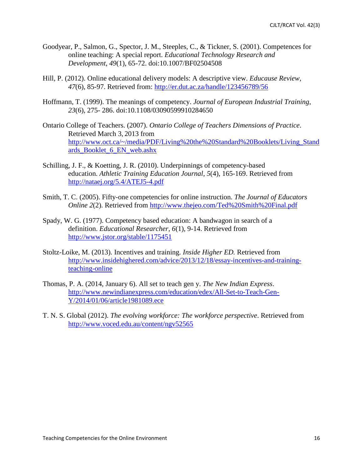- Goodyear, P., Salmon, G., Spector, J. M., Steeples, C., & Tickner, S. (2001). Competences for online teaching: A special report. *Educational Technology Research and Development*, *49*(1), 65-72. doi:10.1007/BF02504508
- Hill, P. (2012). Online educational delivery models: A descriptive view. *Educause Review, 47*(6), 85-97. Retrieved from:<http://er.dut.ac.za/handle/123456789/56>
- Hoffmann, T. (1999). The meanings of competency. *Journal of European Industrial Training*, *23*(6), 275- 286. doi:10.1108/03090599910284650
- Ontario College of Teachers. (2007). *Ontario College of Teachers Dimensions of Practice*. Retrieved March 3, 2013 from [http://www.oct.ca/~/media/PDF/Living%20the%20Standard%20Booklets/Living\\_Stand](http://www.oct.ca/~/media/PDF/Living%20the%20Standard%20Booklets/Living_Standards_Booklet_6_EN_web.ashx) [ards\\_Booklet\\_6\\_EN\\_web.ashx](http://www.oct.ca/~/media/PDF/Living%20the%20Standard%20Booklets/Living_Standards_Booklet_6_EN_web.ashx)
- Schilling, J. F., & Koetting, J. R. (2010). Underpinnings of competency-based education. *Athletic Training Education Journal*, *5*(4), 165-169. Retrieved from <http://nataej.org/5.4/ATEJ5-4.pdf>
- Smith, T. C. (2005). Fifty-one competencies for online instruction. *The Journal of Educators Online 2*(2). Retrieved from<http://www.thejeo.com/Ted%20Smith%20Final.pdf>
- Spady, W. G. (1977). Competency based education: A bandwagon in search of a definition. *Educational Researcher, 6*(1), 9-14. Retrieved from <http://www.jstor.org/stable/1175451>
- Stoltz-Loike, M. (2013). Incentives and training. *Inside Higher ED.* Retrieved from [http://www.insidehighered.com/advice/2013/12/18/essay-incentives-and-training](http://www.insidehighered.com/advice/2013/12/18/essay-incentives-and-training-teaching-online)[teaching-online](http://www.insidehighered.com/advice/2013/12/18/essay-incentives-and-training-teaching-online)
- Thomas, P. A. (2014, January 6). All set to teach gen y. *The New Indian Express*. [http://www.newindianexpress.com/education/edex/All-Set-to-Teach-Gen-](http://www.newindianexpress.com/education/edex/All-Set-to-Teach-Gen-Y/2014/01/06/article1981089.ece)[Y/2014/01/06/article1981089.ece](http://www.newindianexpress.com/education/edex/All-Set-to-Teach-Gen-Y/2014/01/06/article1981089.ece)
- T. N. S. Global (2012). *The evolving workforce: The workforce perspective*. Retrieved from <http://www.voced.edu.au/content/ngv52565>